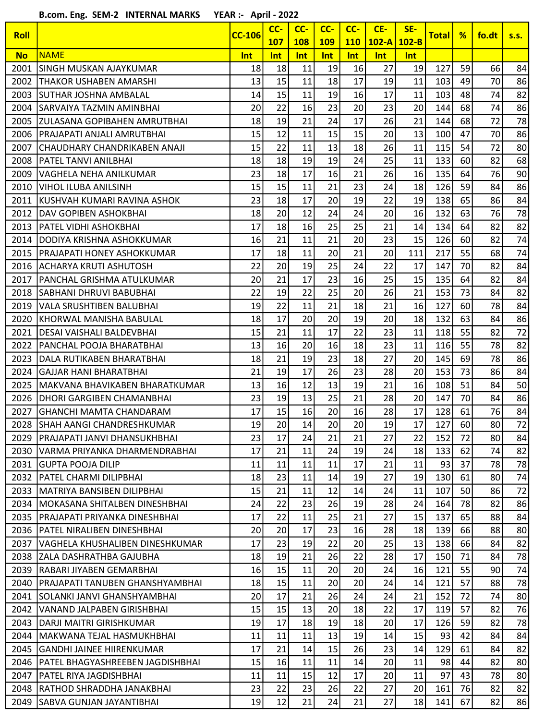B.com. Eng. SEM-2 INTERNAL MARKS YEAR :- April - 2022

| <b>Roll</b> |                                  | <b>CC-106</b> | CC-<br><b>107</b> | CC-<br><b>108</b> | CC-<br><b>109</b> | CC-<br><b>110</b> | CE-<br>$102-A$ | SE-<br>$102-B$ | Total | %  | fo.dt | S.S. |
|-------------|----------------------------------|---------------|-------------------|-------------------|-------------------|-------------------|----------------|----------------|-------|----|-------|------|
| <b>No</b>   | <b>NAME</b>                      | Int           | Int               | Int               | <b>Int</b>        | Int               | Int            | Int            |       |    |       |      |
| 2001        | ISINGH MUSKAN AJAYKUMAR          | 18            | 18                | 11                | 19                | 16                | 27             | 19             | 127   | 59 | 66    | 84   |
| 2002        | THAKOR USHABEN AMARSHI           | 13            | 15                | 11                | 18                | 17                | 19             | 11             | 103   | 49 | 70    | 86   |
| 2003        | SUTHAR JOSHNA AMBALAL            | 14            | 15                | 11                | 19                | 16                | 17             | 11             | 103   | 48 | 74    | 82   |
| 2004        | SARVAIYA TAZMIN AMINBHAI         | 20            | 22                | 16                | 23                | 20                | 23             | 20             | 144   | 68 | 74    | 86   |
| 2005        | IZULASANA GOPIBAHEN AMRUTBHAI    | 18            | 19                | 21                | 24                | 17                | 26             | 21             | 144   | 68 | 72    | 78   |
| 2006        | PRAJAPATI ANJALI AMRUTBHAI       | 15            | 12                | 11                | 15                | 15                | 20             | 13             | 100   | 47 | 70    | 86   |
| 2007        | CHAUDHARY CHANDRIKABEN ANAJI     | 15            | 22                | 11                | 13                | 18                | 26             | 11             | 115   | 54 | 72    | 80   |
| 2008        | <b>PATEL TANVI ANILBHAI</b>      | 18            | 18                | 19                | 19                | 24                | 25             | 11             | 133   | 60 | 82    | 68   |
| 2009        | VAGHELA NEHA ANILKUMAR           | 23            | 18                | 17                | 16                | 21                | 26             | 16             | 135   | 64 | 76    | 90   |
| 2010        | <b>VIHOL ILUBA ANILSINH</b>      | 15            | 15                | 11                | 21                | 23                | 24             | 18             | 126   | 59 | 84    | 86   |
| 2011        | KUSHVAH KUMARI RAVINA ASHOK      | 23            | 18                | 17                | 20                | 19                | 22             | 19             | 138   | 65 | 86    | 84   |
| 2012        | DAV GOPIBEN ASHOKBHAI            | 18            | 20                | 12                | 24                | 24                | 20             | 16             | 132   | 63 | 76    | 78   |
| 2013        | PATEL VIDHI ASHOKBHAI            | 17            | 18                | 16                | 25                | 25                | 21             | 14             | 134   | 64 | 82    | 82   |
| 2014        | DODIYA KRISHNA ASHOKKUMAR        | 16            | 21                | 11                | 21                | 20                | 23             | 15             | 126   | 60 | 82    | 74   |
| 2015        | PRAJAPATI HONEY ASHOKKUMAR       | 17            | 18                | 11                | 20                | 21                | 20             | 111            | 217   | 55 | 68    | 74   |
| 2016        | ACHARYA KRUTI ASHUTOSH           | 22            | 20                | 19                | 25                | 24                | 22             | 17             | 147   | 70 | 82    | 84   |
| 2017        | PANCHAL GRISHMA ATULKUMAR        | 20            | 21                | 17                | 23                | 16                | 25             | 15             | 135   | 64 | 82    | 84   |
| 2018        | SABHANI DHRUVI BABUBHAI          | 22            | 19                | 22                | 25                | 20                | 26             | 21             | 153   | 73 | 84    | 82   |
| 2019        | VALA SRUSHTIBEN BALUBHAI         | 19            | 22                | 11                | 21                | 18                | 21             | 16             | 127   | 60 | 78    | 84   |
| 2020        | KHORWAL MANISHA BABULAL          | 18            | 17                | 20                | 20                | 19                | 20             | 18             | 132   | 63 | 84    | 86   |
| 2021        | DESAI VAISHALI BALDEVBHAI        | 15            | 21                | 11                | 17                | 22                | 23             | 11             | 118   | 55 | 82    | 72   |
| 2022        | PANCHAL POOJA BHARATBHAI         | 13            | 16                | 20                | 16                | 18                | 23             | 11             | 116   | 55 | 78    | 82   |
| 2023        | DALA RUTIKABEN BHARATBHAI        | 18            | 21                | 19                | 23                | 18                | 27             | 20             | 145   | 69 | 78    | 86   |
| 2024        | <b>GAJJAR HANI BHARATBHAI</b>    | 21            | 19                | 17                | 26                | 23                | 28             | 20             | 153   | 73 | 86    | 84   |
| 2025        | lMAKVANA BHAVIKABEN BHARATKUMAR  | 13            | 16                | 12                | 13                | 19                | 21             | 16             | 108   | 51 | 84    | 50   |
| 2026        | DHORI GARGIBEN CHAMANBHAI        | 23            | 19                | 13                | 25                | 21                | 28             | 20             | 147   | 70 | 84    | 86   |
| 2027        | GHANCHI MAMTA CHANDARAM          | 17            | 15                | 16                | 20                | 16                | 28             | 17             | 128   | 61 | 76    | 84   |
| 2028        | SHAH AANGI CHANDRESHKUMAR        | 19            | 20                | 14                | 20                | 20                | 19             | 17             | 127   | 60 | 80    | 72   |
| 2029        | IPRAJAPATI JANVI DHANSUKHBHAI    | 23            | 17                | 24                | 21                | 21                | 27             | 22             | 152   | 72 | 80    | 84   |
| 2030        | lVARMA PRIYANKA DHARMENDRABHAI   | 17            | 21                | 11                | 24                | 19                | 24             | 18             | 133   | 62 | 74    | 82   |
| 2031        | GUPTA POOJA DILIP                | 11            | 11                | 11                | 11                | 17                | 21             | 11             | 93    | 37 | 78    | 78   |
| 2032        | PATEL CHARMI DILIPBHAI           | 18            | 23                | 11                | 14                | 19                | 27             | 19             | 130   | 61 | 80    | 74   |
| 2033        | IMATRIYA BANSIBEN DILIPBHAI      | 15            | 21                | 11                | 12                | 14                | 24             | 11             | 107   | 50 | 86    | 72   |
| 2034        | MOKASANA SHITALBEN DINESHBHAI    | 24            | 22                | 23                | 26                | 19                | 28             | 24             | 164   | 78 | 82    | 86   |
| 2035        | PRAJAPATI PRIYANKA DINESHBHAI    | 17            | 22                | 11                | 25                | 21                | 27             | 15             | 137   | 65 | 88    | 84   |
| 2036        | PATEL NIRALIBEN DINESHBHAI       | 20            | 20                | 17                | 23                | 16                | 28             | 18             | 139   | 66 | 88    | 80   |
| 2037        | VAGHELA KHUSHALIBEN DINESHKUMAR  | 17            | 23                | 19                | 22                | 20                | 25             | 13             | 138   | 66 | 84    | 82   |
| 2038        | IZALA DASHRATHBA GAJUBHA         | 18            | 19                | 21                | 26                | 22                | 28             | 17             | 150   | 71 | 84    | 78   |
| 2039        | RABARI JIYABEN GEMARBHAI         | 16            | 15                | 11                | 20                | 20                | 24             | 16             | 121   | 55 | 90    | 74   |
| 2040        | IPRAJAPATI TANUBEN GHANSHYAMBHAI | 18            | 15                | 11                | 20                | 20                | 24             | 14             | 121   | 57 | 88    | 78   |
| 2041        | SOLANKI JANVI GHANSHYAMBHAI      | 20            | 17                | 21                | 26                | 24                | 24             | 21             | 152   | 72 | 74    | 80   |
| 2042        | VANAND JALPABEN GIRISHBHAI       | 15            | 15                | 13                | 20                | 18                | 22             | 17             | 119   | 57 | 82    | 76   |
| 2043        | IDARJI MAITRI GIRISHKUMAR        | 19            | 17                | 18                | 19                | 18                | 20             | 17             | 126   | 59 | 82    | 78   |
| 2044        | lMAKWANA TEJAL HASMUKHBHAI       | 11            | 11                | 11                | 13                | 19                | 14             | 15             | 93    | 42 | 84    | 84   |
| 2045        | GANDHI JAINEE HIIRENKUMAR        | 17            | 21                | 14                | 15                | 26                | 23             | 14             | 129   | 61 | 84    | 82   |
| 2046        | PATEL BHAGYASHREEBEN JAGDISHBHAI | 15            | 16                | 11                | 11                | 14                | 20             | 11             | 98    | 44 | 82    | 80   |
| 2047        | PATEL RIYA JAGDISHBHAI           | 11            | 11                | 15                | 12                | 17                | 20             | 11             | 97    | 43 | 78    | 80   |
| 2048        | IRATHOD SHRADDHA JANAKBHAI       | 23            | 22                | 23                | 26                | 22                | 27             | 20             | 161   | 76 | 82    | 82   |
| 2049        | ISABVA GUNJAN JAYANTIBHAI        | 19            | 12                | 21                | 24                | 21                | 27             | 18             | 141   | 67 | 82    | 86   |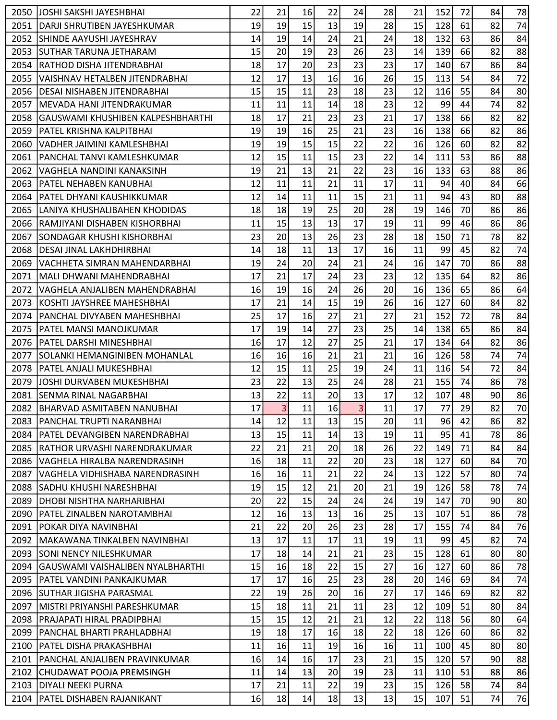| 19<br>19<br>15<br>15<br>13<br>19<br>28<br>128<br>61<br>2051<br> DARJI SHRUTIBEN JAYESHKUMAR      | 74<br>82              |
|--------------------------------------------------------------------------------------------------|-----------------------|
|                                                                                                  |                       |
| 63<br>14<br>19<br>14<br>24<br>21<br>18<br>132<br>2052<br><b>SHINDE AAYUSHI JAYESHRAV</b><br>24   | 84<br>86              |
| 23<br>15<br>20<br>19<br>26<br>23<br>2053<br>ISUTHAR TARUNA JETHARAM<br>14<br>139<br>66           | 88<br>82              |
| 17<br>20<br>23<br>23<br>67<br>RATHOD DISHA JITENDRABHAI<br>18<br>23<br>17<br>2054<br>140         | 84<br>86              |
| 12<br>17<br>13<br>16<br>16<br>15<br>54<br>2055<br>VAISHNAV HETALBEN JITENDRABHAI<br>26<br>113    | 72<br>84              |
| 15<br>23<br>15<br>11<br>18<br>23<br>12<br>55<br>2056<br>DESAI NISHABEN JITENDRABHAI<br>116       | 80<br>84              |
| 11<br>11<br>11<br>18<br>12<br>99<br>44<br>2057<br>14<br>23<br>İMEVADA HANI JITENDRAKUMAR         | 82<br>74              |
| 18<br>17<br>21<br>23<br>23<br>21<br>17<br>138<br>66<br>2058<br>GAUSWAMI KHUSHIBEN KALPESHBHARTHI | 82<br>82              |
| 19<br>19<br>16<br>25<br>21<br>16<br>138<br>2059<br> PATEL KRISHNA KALPITBHAI<br>23<br>66         | 86<br>82              |
| 19<br>19<br>15<br>15<br>22<br>22<br>16<br>60<br>126<br>2060<br>IVADHER JAIMINI KAMLESHBHAI       | 82<br>82              |
| 53<br>12<br>15<br>11<br>15<br>23<br>22<br>111<br>2061<br>PANCHAL TANVI KAMLESHKUMAR<br>14        | 88<br>86              |
| 19<br>21<br>13<br>21<br>63<br>2062<br>VAGHELA NANDINI KANAKSINH<br>22<br>23<br>16<br>133         | 86<br>88              |
| 12<br>11<br>11<br>21<br>17<br>11<br>94<br>40<br>2063<br>PATEL NEHABEN KANUBHAI<br>11             | 66<br>84              |
| 11<br>12<br>14<br>11<br>15<br>21<br>11<br>94<br>43<br>2064<br> PATEL DHYANI KAUSHIKKUMAR         | 88<br>80              |
| 18<br>18<br>19<br>25<br>20<br>28<br>19<br>146<br>70<br>2065<br>LANIYA KHUSHALIBAHEN KHODIDAS     | 86<br>86              |
| 15<br>13<br>11<br>13<br>17<br>46<br>RAMJIYANI DISHABEN KISHORBHAI<br>19<br>11<br>99<br>2066      | 86<br>86              |
| 23<br>13<br>20<br>26<br>23<br>18<br>150<br>71<br>2067<br>28<br>lsondagar khushi kishorbhai       | 82<br>78              |
| 99<br>14<br>18<br>11<br>13<br>17<br>11<br>45<br>2068<br> DESAI JINAL LAKHDHIRBHAI<br>16          | 74<br>82              |
| 20<br>19<br>24<br>24<br>16<br>147<br>70<br>2069<br>21<br>24<br>IVACHHETA SIMRAN MAHENDARBHAI     | 88<br>86              |
| 17<br>21<br>17<br>24<br>23<br>12<br>135<br>64<br>2071<br> MALI DHWANI MAHENDRABHAI<br>23         | 86<br>82              |
| 19<br>16<br>16<br>24<br>26<br>16<br>65<br> VAGHELA ANJALIBEN MAHENDRABHAI<br>20<br>136<br>2072   | 64<br>86              |
| 17<br>21<br>14<br>15<br>19<br>16<br>127<br>2073<br>26<br>60<br>KOSHTI JAYSHREE MAHESHBHAI        | 82<br>84              |
| 25<br>17<br>72<br>PANCHAL DIVYABEN MAHESHBHAI<br>16<br>27<br>21<br>27<br>21<br>152<br>2074       | 84<br>78              |
| 17<br>14<br>27<br>19<br>23<br>25<br>138<br>65<br>2075<br> PATEL MANSI MANOJKUMAR<br>14           | 84<br>86              |
| 17<br>12<br>27<br>17<br>16<br>25<br>134<br>64<br>2076<br>PATEL DARSHI MINESHBHAI<br>21           | 82<br>86              |
| 16<br>16<br>16<br>21<br>21<br>16<br>126<br>58<br>ISOLANKI HEMANGINIBEN MOHANLAL<br>21<br>2077    | 74<br>74              |
| 15<br>25<br>12<br>11<br>19<br>11<br>54<br>2078<br> PATEL ANJALI MUKESHBHAI<br>24<br>116          | 72<br>84              |
| 22<br>13<br>23<br>25<br>28<br>21<br>155<br>74<br>2079<br>JOSHI DURVABEN MUKESHBHAI<br>24         | 78<br>86              |
| 22<br>13<br>20<br>12<br>107<br>48<br>2081<br>11<br>13<br>17<br>SENMA RINAL NAGARBHAI             | 86<br>90              |
| 3<br>3<br>17<br>77<br>29<br>11<br>17<br>2082<br>16<br>11<br><b>BHARVAD ASMITABEN NANUBHAI</b>    | $\overline{70}$<br>82 |
| 96<br>2083<br> PANCHAL TRUPTI NARANBHAI<br>14<br>12<br>11<br>13<br>15<br>20<br>11<br>42          | 86<br>82              |
| 13<br>15<br>95<br>11<br>14<br>13<br>11<br>2084<br>19<br>41<br>IPATEL DEVANGIBEN NARENDRABHAI     | 78<br>86              |
| 22<br>21<br>21<br>18<br>22<br>71<br>2085<br>20<br>26<br>149<br>IRATHOR URVASHI NARENDRAKUMAR     | 84<br>84              |
| 16<br>18<br>22<br>23<br>18<br>2086<br>11<br>20<br>127<br>60<br>VAGHELA HIRALBA NARENDRASINH      | 70<br>84              |
| 22<br>13<br>2087<br>16<br>16<br>11<br>21<br>122<br>57<br>VAGHELA VIDHISHABA NARENDRASINH<br>24   | 74<br>80              |
| 19<br>15<br>12<br>21<br>19<br>58<br>2088<br>20<br>21<br>126<br>ISADHU KHUSHI NARESHBHAI          | 74<br>78              |
| 15<br>19<br>20<br>22<br>24<br>70<br>2089<br>24<br>24<br>147<br>DHOBI NISHTHA NARHARIBHAI         | 80<br>90              |
| 13<br>12<br>16<br>13<br>51<br>13<br>16<br>25<br>107<br>2090<br>IPATEL ZINALBEN NAROTAMBHAI       | 78<br>86              |
| 21<br>22<br>20<br>26<br>23<br>28<br>17<br>2091<br>lpokar diya navinbhai<br>155<br>74             | 76<br>84              |
| 13<br>17<br>11<br>17<br>11<br>99<br>2092<br>11<br>19<br>45<br>IMAKAWANA TINKALBEN NAVINBHAI      | 74<br>82              |
| 17<br>18<br>21<br>21<br>23<br>15<br>128<br>61<br>2093<br>ISONI NENCY NILESHKUMAR<br>14           | 80<br>80              |
| 15<br>16<br>18<br>22<br>15<br>27<br>16<br>127<br>60<br>2094<br> GAUSWAMI VAISHALIBEN NYALBHARTHI | 78<br>86              |
| 17<br>17<br>25<br>69<br>2095<br>16<br>23<br>28<br>20<br>146<br>IPATEL VANDINI PANKAJKUMAR        | 74<br>84              |
| 22<br>17<br>19<br>26<br>20<br>27<br>2096<br> SUTHAR JIGISHA PARASMAL<br>16<br>146<br>69          | 82<br>82              |
| 15<br>18<br>11<br>21<br>11<br>12<br>2097<br>23<br>109<br>51<br>lMISTRI PRIYANSHI PARESHKUMAR     | 84<br>80              |
| 15<br>15<br>12<br>21<br>12<br>22<br>56<br>2098<br>21<br>118<br>IPRAJAPATI HIRAL PRADIPBHAI       | 64<br>80              |
| 17<br>19<br>18<br>18<br>60<br>16<br>18<br>22<br>126<br>2099<br>IPANCHAL BHARTI PRAHLADBHAI       | 82<br>86              |
| 11<br>19<br>11<br>16<br>11<br>16<br>100<br>45<br>2100<br>IPATEL DISHA PRAKASHBHAI<br>16          | 80<br>80              |
| 15<br>57<br>16<br>14<br>16<br>17<br>23<br>21<br>120<br>2101<br> PANCHAL ANJALIBEN PRAVINKUMAR    | 88<br>90              |
| 13<br>20<br>19<br>2102<br>11<br>14<br>23<br>11<br>110<br>51<br>ICHUDAWAT POOJA PREMSINGH         | 86<br>88              |
| 17<br>21<br>11<br>22<br>19<br>15<br>58<br>2103<br>DIYALI NEEKI PURNA<br>23<br>126                | 84<br>74              |
| 16<br>18<br>18<br>13<br>15<br>51<br>2104<br>PATEL DISHABEN RAJANIKANT<br>14<br>13<br>107         | 76<br>74              |